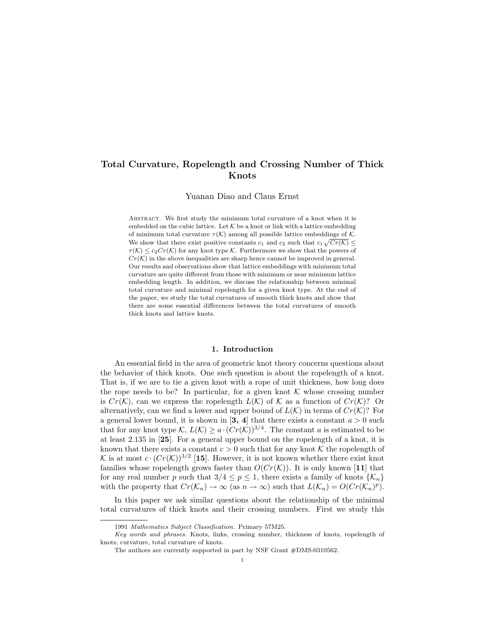# Total Curvature, Ropelength and Crossing Number of Thick Knots

Yuanan Diao and Claus Ernst

Abstract. We first study the minimum total curvature of a knot when it is embedded on the cubic lattice. Let  $K$  be a knot or link with a lattice embedding of minimum total curvature  $\tau(\mathcal{K})$  among all possible lattice embeddings of  $\mathcal{K}$ . We show that there exist positive constants  $c_1$  and  $c_2$  such that  $c_1\sqrt{Cr(\mathcal{K})} \leq$  $\tau(\mathcal{K}) \leq c_2Cr(\mathcal{K})$  for any knot type  $\mathcal{K}$ . Furthermore we show that the powers of  $Cr(\mathcal{K})$  in the above inequalities are sharp hence cannot be improved in general. Our results and observations show that lattice embeddings with minimum total curvature are quite different from those with minimum or near minimum lattice embedding length. In addition, we discuss the relationship between minimal total curvature and minimal ropelength for a given knot type. At the end of the paper, we study the total curvatures of smooth thick knots and show that there are some essential differences between the total curvatures of smooth thick knots and lattice knots.

## 1. Introduction

An essential field in the area of geometric knot theory concerns questions about the behavior of thick knots. One such question is about the ropelength of a knot. That is, if we are to tie a given knot with a rope of unit thickness, how long does the rope needs to be? In particular, for a given knot  $K$  whose crossing number is  $Cr(\mathcal{K})$ , can we express the ropelength  $L(\mathcal{K})$  of  $\mathcal{K}$  as a function of  $Cr(\mathcal{K})$ ? Or alternatively, can we find a lower and upper bound of  $L(\mathcal{K})$  in terms of  $Cr(\mathcal{K})$ ? For a general lower bound, it is shown in [3, 4] that there exists a constant  $a > 0$  such that for any knot type  $\mathcal{K}, L(\mathcal{K}) \geq a \cdot (Cr(\mathcal{K}))^{3/4}$ . The constant a is estimated to be at least 2.135 in [25]. For a general upper bound on the ropelength of a knot, it is known that there exists a constant  $c > 0$  such that for any knot K the ropelength of K is at most  $c \cdot (Cr(\mathcal{K}))^{3/2}$  [15]. However, it is not known whether there exist knot families whose ropelength grows faster than  $O(Cr(\mathcal{K}))$ . It is only known [11] that for any real number p such that  $3/4 \le p \le 1$ , there exists a family of knots  $\{\mathcal{K}_n\}$ with the property that  $Cr(\mathcal{K}_n) \to \infty$  (as  $n \to \infty$ ) such that  $L(\mathcal{K}_n) = O(Cr(\mathcal{K}_n)^p)$ .

In this paper we ask similar questions about the relationship of the minimal total curvatures of thick knots and their crossing numbers. First we study this

<sup>1991</sup> Mathematics Subject Classification. Primary 57M25.

Key words and phrases. Knots, links, crossing number, thickness of knots, ropelength of knots, curvature, total curvature of knots.

The authors are currently supported in part by NSF Grant #DMS-0310562.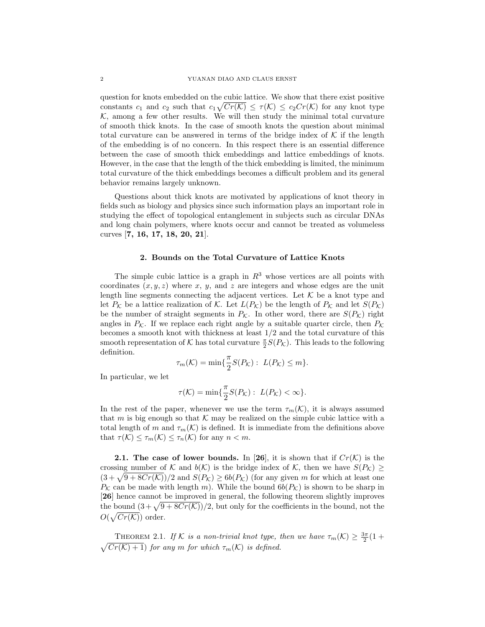question for knots embedded on the cubic lattice. We show that there exist positive constants  $c_1$  and  $c_2$  such that  $c_1\sqrt{Cr(\mathcal{K})} \leq \tau(\mathcal{K}) \leq c_2Cr(\mathcal{K})$  for any knot type  $K$ , among a few other results. We will then study the minimal total curvature of smooth thick knots. In the case of smooth knots the question about minimal total curvature can be answered in terms of the bridge index of  $K$  if the length of the embedding is of no concern. In this respect there is an essential difference between the case of smooth thick embeddings and lattice embeddings of knots. However, in the case that the length of the thick embedding is limited, the minimum total curvature of the thick embeddings becomes a difficult problem and its general behavior remains largely unknown.

Questions about thick knots are motivated by applications of knot theory in fields such as biology and physics since such information plays an important role in studying the effect of topological entanglement in subjects such as circular DNAs and long chain polymers, where knots occur and cannot be treated as volumeless curves [7, 16, 17, 18, 20, 21].

### 2. Bounds on the Total Curvature of Lattice Knots

The simple cubic lattice is a graph in  $R<sup>3</sup>$  whose vertices are all points with coordinates  $(x, y, z)$  where x, y, and z are integers and whose edges are the unit length line segments connecting the adjacent vertices. Let  $K$  be a knot type and let  $P_K$  be a lattice realization of K. Let  $L(P_K)$  be the length of  $P_K$  and let  $S(P_K)$ be the number of straight segments in  $P_{\mathcal{K}}$ . In other word, there are  $S(P_{\mathcal{K}})$  right angles in  $P_K$ . If we replace each right angle by a suitable quarter circle, then  $P_K$ becomes a smooth knot with thickness at least 1/2 and the total curvature of this smooth representation of  $K$  has total curvature  $\frac{\pi}{2}S(P_K)$ . This leads to the following definition.

$$
\tau_m(\mathcal{K}) = \min\{\frac{\pi}{2}S(P_{\mathcal{K}}): L(P_{\mathcal{K}}) \leq m\}.
$$

In particular, we let

$$
\tau(\mathcal{K}) = \min\{\frac{\pi}{2}S(P_{\mathcal{K}}): L(P_{\mathcal{K}}) < \infty\}.
$$

In the rest of the paper, whenever we use the term  $\tau_m(\mathcal{K})$ , it is always assumed that m is big enough so that  $K$  may be realized on the simple cubic lattice with a total length of m and  $\tau_m(\mathcal{K})$  is defined. It is immediate from the definitions above that  $\tau(\mathcal{K}) \leq \tau_m(\mathcal{K}) \leq \tau_n(\mathcal{K})$  for any  $n < m$ .

**2.1.** The case of lower bounds. In [26], it is shown that if  $Cr(\mathcal{K})$  is the crossing number of K and  $b(\mathcal{K})$  is the bridge index of K, then we have  $S(P_K) \geq$ crossing number of  $\kappa$  and  $\theta(\kappa)$  is the bridge index of  $\kappa$ , then we have  $S(F_{\kappa}) \geq (3 + \sqrt{9 + 8Cr(\kappa)})/2$  and  $S(F_{\kappa}) \geq 6b(F_{\kappa})$  (for any given m for which at least one  $P_K$  can be made with length m). While the bound  $6b(P_K)$  is shown to be sharp in [26] hence cannot be improved in general, the following theorem slightly improves [20] nence cannot be improved in general, the following theorem signity improves<br>the bound  $(3 + \sqrt{9 + 8Cr(K)})/2$ , but only for the coefficients in the bound, not the  $O(\sqrt{Cr(\mathcal{K})})$  order.

THEOREM 2.1. If K is a non-trivial knot type, then we have  $\tau_m(\mathcal{K}) \geq \frac{3\pi}{2}(1+\epsilon)$ p  $Cr(\mathcal{K})+1)$  for any m for which  $\tau_m(\mathcal{K})$  is defined.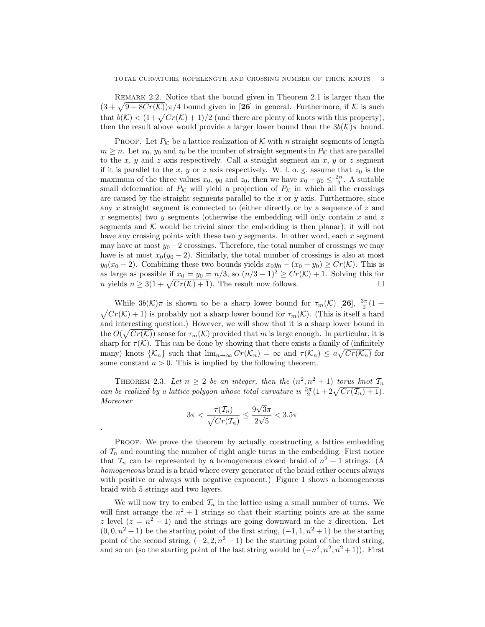REMARK 2.2. Notice that the bound given in Theorem 2.1 is larger than the KEMARK 2.2. Notice that the bound given in Theorem 2.1 is larger than the  $(3 + \sqrt{9 + 8Cr(K)})\pi/4$  bound given in [26] in general. Furthermore, if K is such  $t(s + \sqrt{9 + 8C}r(\mathcal{K}))^{\pi/4}$  bound given in [20] in general. Furthermore, if  $\mathcal{K}$  is such that  $b(\mathcal{K}) < (1 + \sqrt{Cr(\mathcal{K}) + 1})/2$  (and there are plenty of knots with this property), then the result above would provide a larger lower bound than the  $3b(\mathcal{K})\pi$  bound.

**PROOF.** Let  $P_K$  be a lattice realization of K with n straight segments of length  $m \geq n$ . Let  $x_0, y_0$  and  $z_0$  be the number of straight segments in  $P_{\mathcal{K}}$  that are parallel to the  $x, y$  and  $z$  axis respectively. Call a straight segment an  $x, y$  or  $z$  segment if it is parallel to the x, y or z axis respectively. W. l. o. g. assume that  $z_0$  is the maximum of the three values  $x_0, y_0$  and  $z_0$ , then we have  $x_0 + y_0 \leq \frac{2n}{3}$ . A suitable small deformation of  $P_K$  will yield a projection of  $P_K$  in which all the crossings are caused by the straight segments parallel to the  $x$  or  $y$  axis. Furthermore, since any  $x$  straight segment is connected to (either directly or by a sequence of  $z$  and x segments) two y segments (otherwise the embedding will only contain x and z segments and  $K$  would be trivial since the embedding is then planar), it will not have any crossing points with these two  $y$  segments. In other word, each  $x$  segment may have at most  $y_0 - 2$  crossings. Therefore, the total number of crossings we may have is at most  $x_0(y_0 - 2)$ . Similarly, the total number of crossings is also at most  $y_0(x_0 - 2)$ . Combining these two bounds yields  $x_0y_0 - (x_0 + y_0) \ge Cr(\mathcal{K})$ . This is as large as possible if  $x_0 = y_0 = n/3$ , so  $(n/3 - 1)^2 \ge Cr(K) + 1$ . Solving this for as large as possible if  $x_0 = y_0 = n/3$ , so  $(n/3 - 1)^2 \ge Cr(\mathcal{K}) + 1$ . Solving this for <br> n yields  $n \ge 3(1 + \sqrt{Cr(\mathcal{K}) + 1})$ . The result now follows.

While  $3b(\mathcal{K})\pi$  is shown to be a sharp lower bound for  $\tau_m(\mathcal{K})$  [26],  $\frac{3\pi}{2}(1+\pi)$ p  $Cr(\mathcal{K})+1$ ) is probably not a sharp lower bound for  $\tau_m(\mathcal{K})$ . (This is itself a hard and interesting question.) However, we will show that it is a sharp lower bound in the  $O(\sqrt{Cr(\mathcal{K})})$  sense for  $\tau_m(\mathcal{K})$  provided that m is large enough. In particular, it is sharp for  $\tau(\mathcal{K})$ . This can be done by showing that there exists a family of (infinitely many) knots  $\{\mathcal{K}_n\}$  such that  $\lim_{n\to\infty} Cr(\mathcal{K}_n) = \infty$  and  $\tau(\mathcal{K}_n) \le a\sqrt{Cr(\mathcal{K}_n)}$  for some constant  $a > 0$ . This is implied by the following theorem.

THEOREM 2.3. Let  $n \geq 2$  be an integer, then the  $(n^2, n^2 + 1)$  torus knot  $\mathcal{T}_n$ **THEOREM 2.3.** Let  $n \geq 2$  be an integer, then the  $(n^2, n^2 + 1)$  torus knot  $I_n$ <br>can be realized by a lattice polygon whose total curvature is  $\frac{3\pi}{2}(1+2\sqrt{Cr(T_n)+1})$ . Moreover √

$$
3\pi < \frac{\tau(T_n)}{\sqrt{Cr(T_n)}} \le \frac{9\sqrt{3}\pi}{2\sqrt{5}} < 3.5\pi
$$

.

Proof. We prove the theorem by actually constructing a lattice embedding of  $\mathcal{T}_n$  and counting the number of right angle turns in the embedding. First notice that  $\mathcal{T}_n$  can be represented by a homogeneous closed braid of  $n^2 + 1$  strings. (A homogeneous braid is a braid where every generator of the braid either occurs always with positive or always with negative exponent.) Figure 1 shows a homogeneous braid with 5 strings and two layers.

We will now try to embed  $\mathcal{T}_n$  in the lattice using a small number of turns. We will first arrange the  $n^2 + 1$  strings so that their starting points are at the same z level  $(z = n^2 + 1)$  and the strings are going downward in the z direction. Let  $(0, 0, n^2 + 1)$  be the starting point of the first string,  $(-1, 1, n^2 + 1)$  be the starting point of the second string,  $(-2, 2, n^2 + 1)$  be the starting point of the third string, and so on (so the starting point of the last string would be  $(-n^2, n^2, n^2+1)$ ). First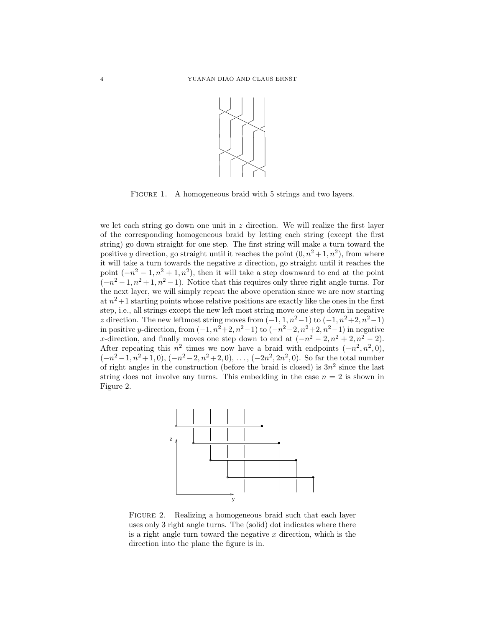

FIGURE 1. A homogeneous braid with 5 strings and two layers.

we let each string go down one unit in  $z$  direction. We will realize the first layer of the corresponding homogeneous braid by letting each string (except the first string) go down straight for one step. The first string will make a turn toward the positive y direction, go straight until it reaches the point  $(0, n^2+1, n^2)$ , from where it will take a turn towards the negative  $x$  direction, go straight until it reaches the point  $(-n^2 - 1, n^2 + 1, n^2)$ , then it will take a step downward to end at the point  $(-n^2-1, n^2+1, n^2-1)$ . Notice that this requires only three right angle turns. For the next layer, we will simply repeat the above operation since we are now starting at  $n^2+1$  starting points whose relative positions are exactly like the ones in the first step, i.e., all strings except the new left most string move one step down in negative z direction. The new leftmost string moves from  $(-1, 1, n^2-1)$  to  $(-1, n^2+2, n^2-1)$ in positive y-direction, from  $(-1, n^2+2, n^2-1)$  to  $(-n^2-2, n^2+2, n^2-1)$  in negative x-direction, and finally moves one step down to end at  $(-n^2 - 2, n^2 + 2, n^2 - 2)$ . After repeating this  $n^2$  times we now have a braid with endpoints  $(-n^2, n^2, 0)$ ,  $(-n^2-1, n^2+1, 0), (-n^2-2, n^2+2, 0), \ldots, (-2n^2, 2n^2, 0).$  So far the total number of right angles in the construction (before the braid is closed) is  $3n^2$  since the last string does not involve any turns. This embedding in the case  $n = 2$  is shown in Figure 2.



FIGURE 2. Realizing a homogeneous braid such that each layer uses only 3 right angle turns. The (solid) dot indicates where there is a right angle turn toward the negative  $x$  direction, which is the direction into the plane the figure is in.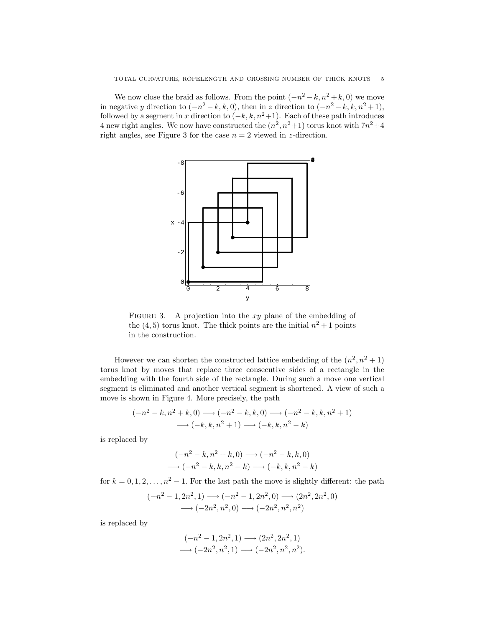We now close the braid as follows. From the point  $(-n^2 - k, n^2 + k, 0)$  we move in negative y direction to  $(-n^2 - k, k, 0)$ , then in z direction to  $(-n^2 - k, k, n^2 + 1)$ , followed by a segment in x direction to  $(-k, k, n^2+1)$ . Each of these path introduces 4 new right angles. We now have constructed the  $(n^2, n^2+1)$  torus knot with  $7n^2+4$ right angles, see Figure 3 for the case  $n = 2$  viewed in z-direction.



FIGURE 3. A projection into the  $xy$  plane of the embedding of the  $(4, 5)$  torus knot. The thick points are the initial  $n^2 + 1$  points in the construction.

However we can shorten the constructed lattice embedding of the  $(n^2, n^2 + 1)$ torus knot by moves that replace three consecutive sides of a rectangle in the embedding with the fourth side of the rectangle. During such a move one vertical segment is eliminated and another vertical segment is shortened. A view of such a move is shown in Figure 4. More precisely, the path

$$
(-n^2 - k, n^2 + k, 0) \longrightarrow (-n^2 - k, k, 0) \longrightarrow (-n^2 - k, k, n^2 + 1)
$$
  

$$
\longrightarrow (-k, k, n^2 + 1) \longrightarrow (-k, k, n^2 - k)
$$

is replaced by

$$
(-n2 - k, n2 + k, 0) \longrightarrow (-n2 - k, k, 0)
$$
  
\n
$$
\longrightarrow (-n2 - k, k, n2 - k) \longrightarrow (-k, k, n2 - k)
$$

for  $k = 0, 1, 2, ..., n^2 - 1$ . For the last path the move is slightly different: the path

$$
(-n^2 - 1, 2n^2, 1) \longrightarrow (-n^2 - 1, 2n^2, 0) \longrightarrow (2n^2, 2n^2, 0)
$$
  
 $\longrightarrow (-2n^2, n^2, 0) \longrightarrow (-2n^2, n^2, n^2)$ 

is replaced by

$$
(-n^2 - 1, 2n^2, 1) \longrightarrow (2n^2, 2n^2, 1)
$$
  
 $\longrightarrow (-2n^2, n^2, 1) \longrightarrow (-2n^2, n^2, n^2).$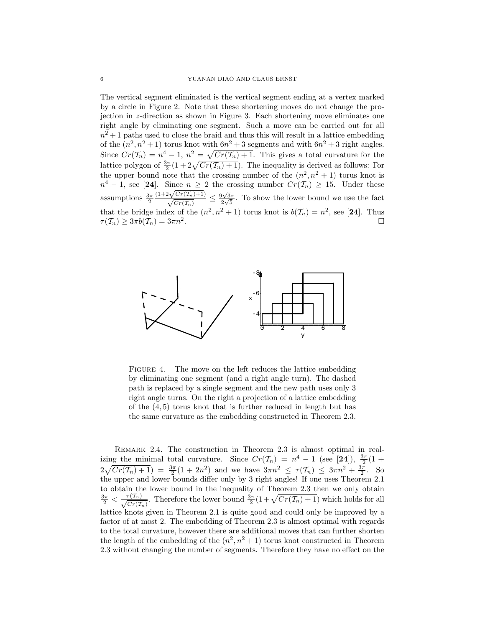The vertical segment eliminated is the vertical segment ending at a vertex marked by a circle in Figure 2. Note that these shortening moves do not change the projection in z-direction as shown in Figure 3. Each shortening move eliminates one right angle by eliminating one segment. Such a move can be carried out for all  $n^2+1$  paths used to close the braid and thus this will result in a lattice embedding of the  $(n^2, n^2+1)$  torus knot with  $6n^2+3$  segments and with  $6n^2+3$  right angles. Since  $Cr(\mathcal{T}_n) = n^4 - 1$ ,  $n^2 = \sqrt{Cr(\mathcal{T}_n) + 1}$ . This gives a total curvature for the since  $Cr(T_n) = n - 1$ ,  $n = \sqrt{Cr(T_n) + 1}$ . This gives a total curvature for the lattice polygon of  $\frac{3\pi}{2}(1 + 2\sqrt{Cr(T_n) + 1})$ . The inequality is derived as follows: For the upper bound note that the crossing number of the  $(n^2, n^2 + 1)$  torus knot is  $n^4 - 1$ , see [24]. Since  $n \geq 2$  the crossing number  $Cr(\mathcal{T}_n) \geq 15$ . Under these assumptions  $\frac{3\pi}{2}$  $\frac{(1+2\sqrt{Cr(T_n)}+1)}{\sqrt{Cr(T_n)}} \leq \frac{9\sqrt{3}\pi}{2\sqrt{5}}$  $\frac{\partial \sqrt{3}\pi}{\partial \sqrt{5}}$ . To show the lower bound we use the fact that the bridge index of the  $(n^2, n^2 + 1)$  torus knot is  $b(\mathcal{T}_n) = n^2$ , see [24]. Thus  $\tau(\mathcal{T}_n) \geq 3\pi b(\mathcal{T}_n) = 3\pi n^2.$ . The contract of the contract of the contract of  $\Box$ 



FIGURE 4. The move on the left reduces the lattice embedding by eliminating one segment (and a right angle turn). The dashed path is replaced by a single segment and the new path uses only 3 right angle turns. On the right a projection of a lattice embedding of the (4, 5) torus knot that is further reduced in length but has the same curvature as the embedding constructed in Theorem 2.3.

REMARK 2.4. The construction in Theorem 2.3 is almost optimal in realizing the minimal total curvature. Since  $Cr(\mathcal{T}_n) = n^4 - 1$  (see [24]),  $\frac{3\pi}{2}(1 + \frac{1}{2})$  $2\sqrt{Cr(T_n)+1}$  =  $\frac{3\pi}{2}(1+2n^2)$  and we have  $3\pi n^2 \le \tau(T_n) \le 3\pi n^2 + \frac{3\pi}{2}$ . So the upper and lower bounds differ only by 3 right angles! If one uses Theorem 2.1 to obtain the lower bound in the inequality of Theorem 2.3 then we only obtain to obtain the lower bound in the inequality of Theorem 2.5 then we only obtain  $\frac{3\pi}{2} < \frac{\tau(T_n)}{\sqrt{Cr(T_n)}}$ . Therefore the lower bound  $\frac{3\pi}{2}(1+\sqrt{Cr(T_n)+1})$  which holds for all lattice knots given in Theorem 2.1 is quite good and could only be improved by a factor of at most 2. The embedding of Theorem 2.3 is almost optimal with regards to the total curvature, however there are additional moves that can further shorten the length of the embedding of the  $(n^2, n^2+1)$  torus knot constructed in Theorem 2.3 without changing the number of segments. Therefore they have no effect on the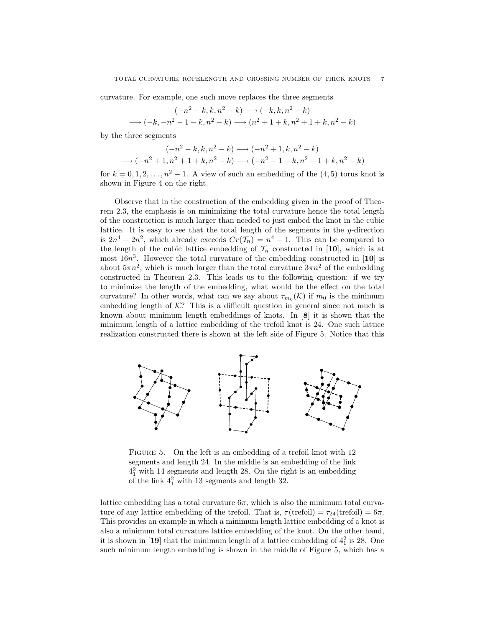curvature. For example, one such move replaces the three segments

$$
(-n^2 - k, k, n^2 - k) \longrightarrow (-k, k, n^2 - k)
$$
  

$$
\longrightarrow (-k, -n^2 - 1 - k, n^2 - k) \longrightarrow (n^2 + 1 + k, n^2 + 1 + k, n^2 - k)
$$

by the three segments

$$
(-n^2 - k, k, n^2 - k) \longrightarrow (-n^2 + 1, k, n^2 - k)
$$
  

$$
\longrightarrow (-n^2 + 1, n^2 + 1 + k, n^2 - k) \longrightarrow (-n^2 - 1 - k, n^2 + 1 + k, n^2 - k)
$$

for  $k = 0, 1, 2, \ldots, n^2 - 1$ . A view of such an embedding of the  $(4, 5)$  torus knot is shown in Figure 4 on the right.

Observe that in the construction of the embedding given in the proof of Theorem 2.3, the emphasis is on minimizing the total curvature hence the total length of the construction is much larger than needed to just embed the knot in the cubic lattice. It is easy to see that the total length of the segments in the y-direction is  $2n^4 + 2n^2$ , which already exceeds  $Cr(\mathcal{T}_n) = n^4 - 1$ . This can be compared to the length of the cubic lattice embedding of  $\mathcal{T}_n$  constructed in [10], which is at most  $16n^3$ . However the total curvature of the embedding constructed in [10] is about  $5\pi n^2$ , which is much larger than the total curvature  $3\pi n^2$  of the embedding constructed in Theorem 2.3. This leads us to the following question: if we try to minimize the length of the embedding, what would be the effect on the total curvature? In other words, what can we say about  $\tau_{m_0}(\mathcal{K})$  if  $m_0$  is the minimum embedding length of  $K$ ? This is a difficult question in general since not much is known about minimum length embeddings of knots. In [8] it is shown that the minimum length of a lattice embedding of the trefoil knot is 24. One such lattice realization constructed there is shown at the left side of Figure 5. Notice that this



FIGURE 5. On the left is an embedding of a trefoil knot with 12 segments and length 24. In the middle is an embedding of the link  $4<sub>1</sub><sup>2</sup>$  with 14 segments and length 28. On the right is an embedding of the link  $4<sub>1</sub><sup>2</sup>$  with 13 segments and length 32.

lattice embedding has a total curvature  $6\pi$ , which is also the minimum total curvature of any lattice embedding of the trefoil. That is,  $\tau$ (trefoil) =  $\tau_{24}$ (trefoil) =  $6\pi$ . This provides an example in which a minimum length lattice embedding of a knot is also a minimum total curvature lattice embedding of the knot. On the other hand, it is shown in [19] that the minimum length of a lattice embedding of  $4<sup>2</sup><sub>1</sub>$  is 28. One such minimum length embedding is shown in the middle of Figure 5, which has a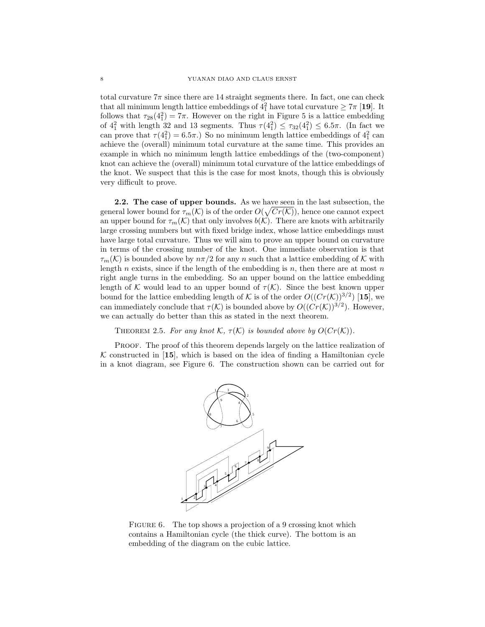total curvature  $7\pi$  since there are 14 straight segments there. In fact, one can check that all minimum length lattice embeddings of  $4<sup>2</sup><sub>1</sub>$  have total curvature  $\geq 7\pi$  [19]. It follows that  $\tau_{28}(4_1^2) = 7\pi$ . However on the right in Figure 5 is a lattice embedding of  $4_1^2$  with length 32 and 13 segments. Thus  $\tau(4_1^2) \leq \tau_{32}(4_1^2) \leq 6.5\pi$ . (In fact we can prove that  $\tau(4_1^2) = 6.5\pi$ .) So no minimum length lattice embeddings of  $4_1^2$  can achieve the (overall) minimum total curvature at the same time. This provides an example in which no minimum length lattice embeddings of the (two-component) knot can achieve the (overall) minimum total curvature of the lattice embeddings of the knot. We suspect that this is the case for most knots, though this is obviously very difficult to prove.

**2.2.** The case of upper bounds. As we have seen in the last subsection, the general lower bound for  $\tau_m(\mathcal{K})$  is of the order  $O(\sqrt{Cr(\mathcal{K})})$ , hence one cannot expect an upper bound for  $\tau_m(\mathcal{K})$  that only involves  $b(\mathcal{K})$ . There are knots with arbitrarily large crossing numbers but with fixed bridge index, whose lattice embeddings must have large total curvature. Thus we will aim to prove an upper bound on curvature in terms of the crossing number of the knot. One immediate observation is that  $\tau_m(\mathcal{K})$  is bounded above by  $n\pi/2$  for any n such that a lattice embedding of K with length n exists, since if the length of the embedding is  $n$ , then there are at most  $n$ right angle turns in the embedding. So an upper bound on the lattice embedding length of K would lead to an upper bound of  $\tau(K)$ . Since the best known upper bound for the lattice embedding length of K is of the order  $O((Cr(\mathcal{K}))^{3/2})$  [15], we can immediately conclude that  $\tau(\mathcal{K})$  is bounded above by  $O((Cr(\mathcal{K}))^{3/2})$ . However, we can actually do better than this as stated in the next theorem.

THEOREM 2.5. For any knot K,  $\tau(K)$  is bounded above by  $O(Cr(K))$ .

Proof. The proof of this theorem depends largely on the lattice realization of K constructed in [15], which is based on the idea of finding a Hamiltonian cycle in a knot diagram, see Figure 6. The construction shown can be carried out for



FIGURE 6. The top shows a projection of a 9 crossing knot which contains a Hamiltonian cycle (the thick curve). The bottom is an embedding of the diagram on the cubic lattice.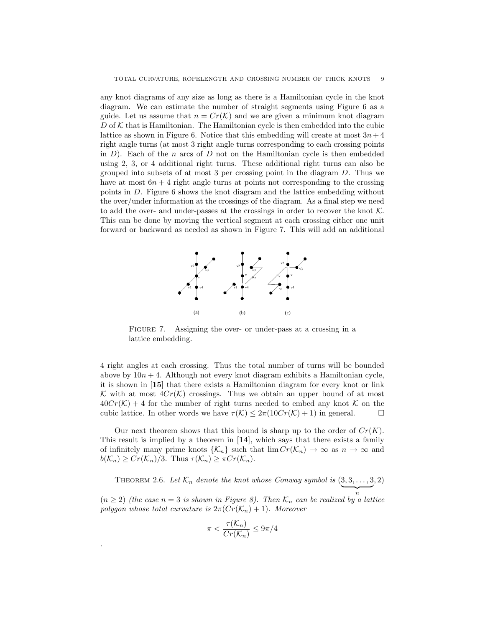any knot diagrams of any size as long as there is a Hamiltonian cycle in the knot diagram. We can estimate the number of straight segments using Figure 6 as a guide. Let us assume that  $n = Cr(\mathcal{K})$  and we are given a minimum knot diagram  $D$  of  $K$  that is Hamiltonian. The Hamiltonian cycle is then embedded into the cubic lattice as shown in Figure 6. Notice that this embedding will create at most  $3n + 4$ right angle turns (at most 3 right angle turns corresponding to each crossing points in  $D$ ). Each of the n arcs of D not on the Hamiltonian cycle is then embedded using 2, 3, or 4 additional right turns. These additional right turns can also be grouped into subsets of at most 3 per crossing point in the diagram  $D$ . Thus we have at most  $6n + 4$  right angle turns at points not corresponding to the crossing points in D. Figure 6 shows the knot diagram and the lattice embedding without the over/under information at the crossings of the diagram. As a final step we need to add the over- and under-passes at the crossings in order to recover the knot  $K$ . This can be done by moving the vertical segment at each crossing either one unit forward or backward as needed as shown in Figure 7. This will add an additional



FIGURE 7. Assigning the over- or under-pass at a crossing in a lattice embedding.

4 right angles at each crossing. Thus the total number of turns will be bounded above by  $10n + 4$ . Although not every knot diagram exhibits a Hamiltonian cycle, it is shown in [15] that there exists a Hamiltonian diagram for every knot or link K with at most  $4Cr(K)$  crossings. Thus we obtain an upper bound of at most  $40Cr(\mathcal{K})+4$  for the number of right turns needed to embed any knot  $\mathcal K$  on the cubic lattice. In other words we have  $\tau(\mathcal{K}) \leq 2\pi(10Cr(\mathcal{K})+1)$  in general.

Our next theorem shows that this bound is sharp up to the order of  $Cr(K)$ . This result is implied by a theorem in [14], which says that there exists a family of infinitely many prime knots  $\{\mathcal{K}_n\}$  such that  $\lim Cr(\mathcal{K}_n) \to \infty$  as  $n \to \infty$  and  $b(\mathcal{K}_n) \geq Cr(\mathcal{K}_n)/3$ . Thus  $\tau(\mathcal{K}_n) \geq \pi Cr(\mathcal{K}_n)$ .

THEOREM 2.6. Let  $\mathcal{K}_n$  denote the knot whose Conway symbol is  $(3, 3, \ldots, 3)$ n , 2)  $(n \geq 2)$  (the case  $n = 3$  is shown in Figure 8). Then  $\mathcal{K}_n$  can be realized by a lattice

$$
\pi < \frac{\tau(\mathcal{K}_n)}{Cr(\mathcal{K}_n)} \le 9\pi/4
$$

polygon whose total curvature is  $2\pi (Cr(\mathcal{K}_n) + 1)$ . Moreover

.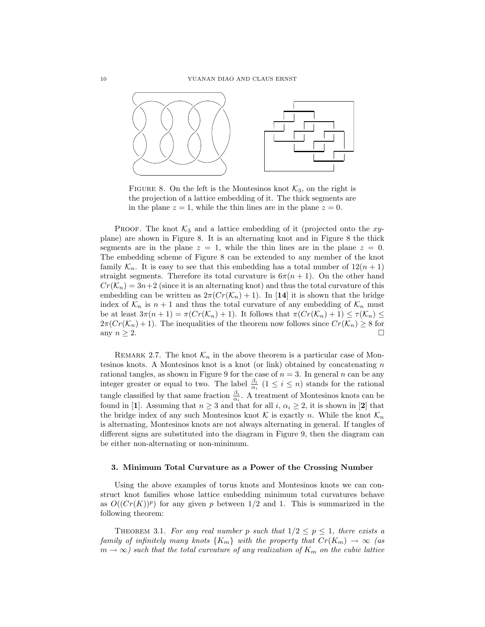

FIGURE 8. On the left is the Montesinos knot  $\mathcal{K}_3$ , on the right is the projection of a lattice embedding of it. The thick segments are in the plane  $z = 1$ , while the thin lines are in the plane  $z = 0$ .

**PROOF.** The knot  $K_3$  and a lattice embedding of it (projected onto the xyplane) are shown in Figure 8. It is an alternating knot and in Figure 8 the thick segments are in the plane  $z = 1$ , while the thin lines are in the plane  $z = 0$ . The embedding scheme of Figure 8 can be extended to any member of the knot family  $\mathcal{K}_n$ . It is easy to see that this embedding has a total number of  $12(n + 1)$ straight segments. Therefore its total curvature is  $6\pi(n+1)$ . On the other hand  $Cr(\mathcal{K}_n) = 3n+2$  (since it is an alternating knot) and thus the total curvature of this embedding can be written as  $2\pi(Cr(\mathcal{K}_n) + 1)$ . In [14] it is shown that the bridge index of  $\mathcal{K}_n$  is  $n+1$  and thus the total curvature of any embedding of  $\mathcal{K}_n$  must be at least  $3\pi(n+1) = \pi(Cr(\mathcal{K}_n) + 1)$ . It follows that  $\pi(Cr(\mathcal{K}_n) + 1) \leq \tau(\mathcal{K}_n) \leq$  $2\pi(Cr(\mathcal{K}_n)+1)$ . The inequalities of the theorem now follows since  $Cr(\mathcal{K}_n)\geq 8$  for any  $n \geq 2$ .

REMARK 2.7. The knot  $\mathcal{K}_n$  in the above theorem is a particular case of Montesinos knots. A Montesinos knot is a knot (or link) obtained by concatenating  $n$ rational tangles, as shown in Figure 9 for the case of  $n = 3$ . In general n can be any integer greater or equal to two. The label  $\frac{\beta_i}{\alpha_i}$  ( $1 \leq i \leq n$ ) stands for the rational tangle classified by that same fraction  $\frac{\beta_i}{\alpha_i}$ . A treatment of Montesinos knots can be found in [1]. Assuming that  $n \geq 3$  and that for all i,  $\alpha_i \geq 2$ , it is shown in [2] that the bridge index of any such Montesinos knot K is exactly n. While the knot  $\mathcal{K}_n$ is alternating, Montesinos knots are not always alternating in general. If tangles of different signs are substituted into the diagram in Figure 9, then the diagram can be either non-alternating or non-minimum.

#### 3. Minimum Total Curvature as a Power of the Crossing Number

Using the above examples of torus knots and Montesinos knots we can construct knot families whose lattice embedding minimum total curvatures behave as  $O((Cr(K))^p)$  for any given p between 1/2 and 1. This is summarized in the following theorem:

THEOREM 3.1. For any real number p such that  $1/2 \le p \le 1$ , there exists a family of infinitely many knots  $\{K_m\}$  with the property that  $Cr(K_m) \rightarrow \infty$  (as  $m \to \infty$ ) such that the total curvature of any realization of  $K_m$  on the cubic lattice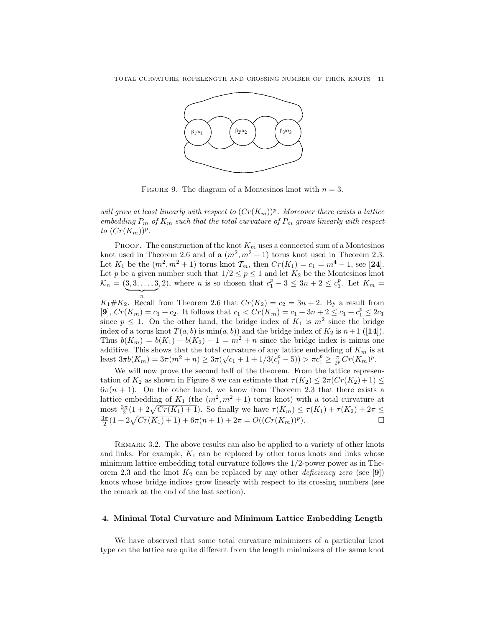

FIGURE 9. The diagram of a Montesinos knot with  $n = 3$ .

will grow at least linearly with respect to  $(Cr(K_m))^p$ . Moreover there exists a lattice embedding  $P_m$  of  $K_m$  such that the total curvature of  $P_m$  grows linearly with respect to  $(Cr(K_m))^p$ .

**PROOF.** The construction of the knot  $K_m$  uses a connected sum of a Montesinos knot used in Theorem 2.6 and of a  $(m^2, m^2 + 1)$  torus knot used in Theorem 2.3. Let  $K_1$  be the  $(m^2, m^2 + 1)$  torus knot  $\mathcal{T}_m$ , then  $Cr(K_1) = c_1 = m^4 - 1$ , see [24]. Let p be a given number such that  $1/2 \le p \le 1$  and let  $K_2$  be the Montesinos knot  $\mathcal{K}_n = (3, 3, ..., 3, 2)$ , where *n* is so chosen that  $c_1^p - 3 \leq 3n + 2 \leq c_1^p$ . Let  $K_m =$ n

 $K_1 \# K_2$ . Recall from Theorem 2.6 that  $Cr(K_2) = c_2 = 3n + 2$ . By a result from [9],  $Cr(K_m) = c_1 + c_2$ . It follows that  $c_1 < Cr(K_m) = c_1 + 3n + 2 \le c_1 + c_1^p \le 2c_1$ since  $p \leq 1$ . On the other hand, the bridge index of  $K_1$  is  $m^2$  since the bridge index of a torus knot  $T(a, b)$  is  $min(a, b)$  and the bridge index of  $K_2$  is  $n+1$  ([14]). Thus  $b(K_m) = b(K_1) + b(K_2) - 1 = m^2 + n$  since the bridge index is minus one additive. This shows that the total curvature of any lattice embedding of  $K_m$  is at additive. This shows that the total curvature of any lattice embedding of  $K_m$  is<br>least  $3\pi b(K_m) = 3\pi (m^2 + n) \geq 3\pi (\sqrt{c_1 + 1} + 1/3(c_1^p - 5)) > \pi c_1^p \geq \frac{\pi}{2^p}Cr(K_m)^p$ .

We will now prove the second half of the theorem. From the lattice representation of  $K_2$  as shown in Figure 8 we can estimate that  $\tau(K_2) \leq 2\pi (Cr(K_2)+1) \leq$  $6\pi(n+1)$ . On the other hand, we know from Theorem 2.3 that there exists a lattice embedding of  $K_1$  (the  $(m^2, m^2 + 1)$  torus knot) with a total curvature at most  $\frac{3\pi}{2}(1+2\sqrt{Cr(K_1)+1})$ . So finally we have  $\tau(K_m) \leq \tau(K_1) + \tau(K_2) + 2\pi \leq$ the set  $\frac{3\pi}{2}(1+2\sqrt{Cr(K_1)+1})$ . So finally we have  $r(\Lambda_m) \le r(\Lambda_1) + r(\Lambda_2) + 2\pi \le \frac{3\pi}{2}(1+2\sqrt{Cr(K_1)+1}) + 6\pi(n+1) + 2\pi = O((Cr(K_m))^p)$ .

REMARK 3.2. The above results can also be applied to a variety of other knots and links. For example,  $K_1$  can be replaced by other torus knots and links whose minimum lattice embedding total curvature follows the 1/2-power power as in Theorem 2.3 and the knot  $K_2$  can be replaced by any other *deficiency zero* (see [9]) knots whose bridge indices grow linearly with respect to its crossing numbers (see the remark at the end of the last section).

## 4. Minimal Total Curvature and Minimum Lattice Embedding Length

We have observed that some total curvature minimizers of a particular knot type on the lattice are quite different from the length minimizers of the same knot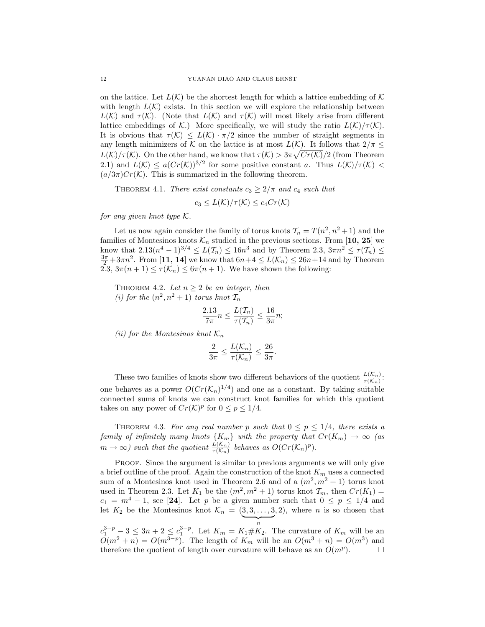on the lattice. Let  $L(\mathcal{K})$  be the shortest length for which a lattice embedding of  $\mathcal{K}$ with length  $L(\mathcal{K})$  exists. In this section we will explore the relationship between  $L(\mathcal{K})$  and  $\tau(\mathcal{K})$ . (Note that  $L(\mathcal{K})$  and  $\tau(\mathcal{K})$  will most likely arise from different lattice embeddings of K.) More specifically, we will study the ratio  $L(\mathcal{K})/\tau(\mathcal{K})$ . It is obvious that  $\tau(\mathcal{K}) \leq L(\mathcal{K}) \cdot \pi/2$  since the number of straight segments in any length minimizers of K on the lattice is at most  $L(K)$ . It follows that  $2/\pi \leq$  $L(\mathcal{K})/\tau(\mathcal{K})$ . On the other hand, we know that  $\tau(\mathcal{K}) > 3\pi \sqrt{Cr(\mathcal{K})/2}$  (from Theorem 2.1) and  $L(\mathcal{K}) \leq a(Cr(\mathcal{K}))^{3/2}$  for some positive constant a. Thus  $L(\mathcal{K})/\tau(\mathcal{K})$  $(a/3\pi)Cr(\mathcal{K})$ . This is summarized in the following theorem.

THEOREM 4.1. There exist constants  $c_3 \geq 2/\pi$  and  $c_4$  such that

$$
c_3 \leq L(\mathcal{K})/\tau(\mathcal{K}) \leq c_4 Cr(\mathcal{K})
$$

for any given knot type  $\mathcal K$ .

Let us now again consider the family of torus knots  $\mathcal{T}_n = T(n^2, n^2 + 1)$  and the families of Montesinos knots  $\mathcal{K}_n$  studied in the previous sections. From [10, 25] we know that  $2.13(n^4 - 1)^{3/4} \le L(T_n) \le 16n^3$  and by Theorem  $2.3, 3\pi n^2 \le \tau(T_n) \le$  $\frac{3\pi}{2}+3\pi n^2$ . From [11, 14] we know that  $6n+4 \leq L(\mathcal{K}_n) \leq 26n+14$  and by Theorem 2.3,  $3\pi(n+1) \leq \tau(\mathcal{K}_n) \leq 6\pi(n+1)$ . We have shown the following:

THEOREM 4.2. Let  $n \geq 2$  be an integer, then (i) for the  $(n^2, n^2 + 1)$  torus knot  $\mathcal{T}_n$ 

$$
\frac{2.13}{7\pi}n \le \frac{L(\mathcal{T}_n)}{\tau(\mathcal{T}_n)} \le \frac{16}{3\pi}n;
$$

(ii) for the Montesinos knot  $\mathcal{K}_n$ 

$$
\frac{2}{3\pi} \le \frac{L(\mathcal{K}_n)}{\tau(\mathcal{K}_n)} \le \frac{26}{3\pi}.
$$

These two families of knots show two different behaviors of the quotient  $\frac{L(\mathcal{K}_n)}{\tau(\mathcal{K}_n)}$ : one behaves as a power  $O(Cr(\mathcal{K}_n)^{1/4})$  and one as a constant. By taking suitable connected sums of knots we can construct knot families for which this quotient takes on any power of  $Cr(\mathcal{K})^p$  for  $0 \leq p \leq 1/4$ .

THEOREM 4.3. For any real number p such that  $0 \le p \le 1/4$ , there exists a family of infinitely many knots  $\{K_m\}$  with the property that  $Cr(K_m) \rightarrow \infty$  (as  $m \to \infty$ ) such that the quotient  $\frac{L(\mathcal{K}_n)}{\tau(\mathcal{K}_n)}$  behaves as  $O(Cr(\mathcal{K}_n)^p)$ .

PROOF. Since the argument is similar to previous arguments we will only give a brief outline of the proof. Again the construction of the knot  $K_m$  uses a connected sum of a Montesinos knot used in Theorem 2.6 and of a  $(m^2, m^2 + 1)$  torus knot used in Theorem 2.3. Let  $K_1$  be the  $(m^2, m^2 + 1)$  torus knot  $\mathcal{T}_m$ , then  $Cr(K_1)$  =  $c_1 = m^4 - 1$ , see [24]. Let p be a given number such that  $0 \le p \le 1/4$  and let  $K_2$  be the Montesinos knot  $\mathcal{K}_n = (\underbrace{3,3,\ldots,3}]$  $, 2)$ , where *n* is so chosen that

 $c_1^{3-p} - 3 \leq 3n + 2 \leq c_1^{3-p}$ . Let  $K_m = K_1 \# K_2$ . The curvature of  $K_m$  will be an  $O(m^2 + n) = O(m^{3-p})$ . The length of  $K_m$  will be an  $O(m^3 + n) = O(m^3)$  and therefore the quotient of length over curvature will behave as an  $O(m^p)$ .  $\Box$ 

n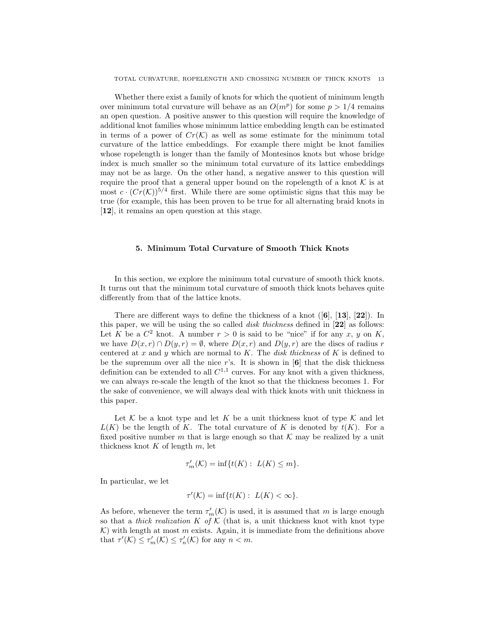Whether there exist a family of knots for which the quotient of minimum length over minimum total curvature will behave as an  $O(m^p)$  for some  $p > 1/4$  remains an open question. A positive answer to this question will require the knowledge of additional knot families whose minimum lattice embedding length can be estimated in terms of a power of  $Cr(\mathcal{K})$  as well as some estimate for the minimum total curvature of the lattice embeddings. For example there might be knot families whose ropelength is longer than the family of Montesinos knots but whose bridge index is much smaller so the minimum total curvature of its lattice embeddings may not be as large. On the other hand, a negative answer to this question will require the proof that a general upper bound on the ropelength of a knot  $K$  is at most  $c \cdot (Cr(\mathcal{K}))^{5/4}$  first. While there are some optimistic signs that this may be true (for example, this has been proven to be true for all alternating braid knots in [12], it remains an open question at this stage.

## 5. Minimum Total Curvature of Smooth Thick Knots

In this section, we explore the minimum total curvature of smooth thick knots. It turns out that the minimum total curvature of smooth thick knots behaves quite differently from that of the lattice knots.

There are different ways to define the thickness of a knot  $([6], [13], [22])$ . In this paper, we will be using the so called disk thickness defined in [22] as follows: Let K be a  $C^2$  knot. A number  $r > 0$  is said to be "nice" if for any x, y on K, we have  $D(x, r) \cap D(y, r) = \emptyset$ , where  $D(x, r)$  and  $D(y, r)$  are the discs of radius r centered at  $x$  and  $y$  which are normal to  $K$ . The *disk thickness* of  $K$  is defined to be the supremum over all the nice r's. It is shown in  $[6]$  that the disk thickness definition can be extended to all  $C^{1,1}$  curves. For any knot with a given thickness, we can always re-scale the length of the knot so that the thickness becomes 1. For the sake of convenience, we will always deal with thick knots with unit thickness in this paper.

Let K be a knot type and let K be a unit thickness knot of type K and let  $L(K)$  be the length of K. The total curvature of K is denoted by  $t(K)$ . For a fixed positive number m that is large enough so that  $\mathcal K$  may be realized by a unit thickness knot  $K$  of length  $m$ , let

$$
\tau_m'(\mathcal{K}) = \inf\{t(K): \ L(K) \leq m\}.
$$

In particular, we let

$$
\tau'(\mathcal{K}) = \inf\{t(K): \ L(K) < \infty\}.
$$

As before, whenever the term  $\tau'_m(\mathcal{K})$  is used, it is assumed that m is large enough so that a thick realization K of K (that is, a unit thickness knot with knot type  $K$ ) with length at most m exists. Again, it is immediate from the definitions above that  $\tau'(\mathcal{K}) \leq \tau'_m(\mathcal{K}) \leq \tau'_n(\mathcal{K})$  for any  $n < m$ .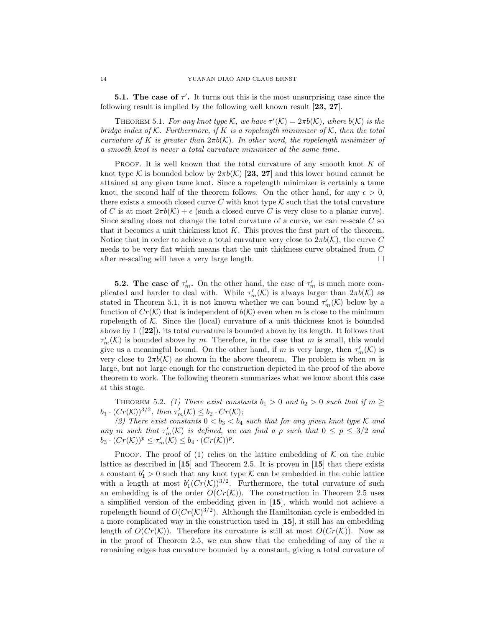**5.1.** The case of  $\tau'$ . It turns out this is the most unsurprising case since the following result is implied by the following well known result [23, 27].

THEOREM 5.1. For any knot type K, we have  $\tau'(\mathcal{K}) = 2\pi b(\mathcal{K})$ , where  $b(\mathcal{K})$  is the bridge index of K. Furthermore, if K is a ropelength minimizer of K, then the total curvature of K is greater than  $2\pi b(\mathcal{K})$ . In other word, the ropelength minimizer of a smooth knot is never a total curvature minimizer at the same time.

PROOF. It is well known that the total curvature of any smooth knot K of knot type K is bounded below by  $2\pi b(\mathcal{K})$  [23, 27] and this lower bound cannot be attained at any given tame knot. Since a ropelength minimizer is certainly a tame knot, the second half of the theorem follows. On the other hand, for any  $\epsilon > 0$ , there exists a smooth closed curve C with knot type  $K$  such that the total curvature of C is at most  $2\pi b(\mathcal{K}) + \epsilon$  (such a closed curve C is very close to a planar curve). Since scaling does not change the total curvature of a curve, we can re-scale C so that it becomes a unit thickness knot  $K$ . This proves the first part of the theorem. Notice that in order to achieve a total curvature very close to  $2\pi b(\mathcal{K})$ , the curve C needs to be very flat which means that the unit thickness curve obtained from C after re-scaling will have a very large length.  $\Box$ 

**5.2.** The case of  $\tau'_m$ . On the other hand, the case of  $\tau'_m$  is much more complicated and harder to deal with. While  $\tau'_m(\mathcal{K})$  is always larger than  $2\pi b(\mathcal{K})$  as stated in Theorem 5.1, it is not known whether we can bound  $\tau_m'(\mathcal{K})$  below by a function of  $Cr(\mathcal{K})$  that is independent of  $b(\mathcal{K})$  even when m is close to the minimum ropelength of  $K$ . Since the (local) curvature of a unit thickness knot is bounded above by 1 ([22]), its total curvature is bounded above by its length. It follows that  $\tau'_m(\mathcal{K})$  is bounded above by m. Therefore, in the case that m is small, this would give us a meaningful bound. On the other hand, if m is very large, then  $\tau_m'(\mathcal{K})$  is very close to  $2\pi b(\mathcal{K})$  as shown in the above theorem. The problem is when m is large, but not large enough for the construction depicted in the proof of the above theorem to work. The following theorem summarizes what we know about this case at this stage.

THEOREM 5.2. (1) There exist constants  $b_1 > 0$  and  $b_2 > 0$  such that if  $m \geq 0$  $b_1 \cdot (Cr(\mathcal{K}))^{3/2}$ , then  $\tau_m'(\mathcal{K}) \leq b_2 \cdot Cr(\mathcal{K})$ ;

(2) There exist constants  $0 < b_3 < b_4$  such that for any given knot type K and any m such that  $\tau'_m(\mathcal{K})$  is defined, we can find a p such that  $0 \leq p \leq 3/2$  and  $b_3 \cdot (Cr(\mathcal{K}))^p \leq \tau_m'(\mathcal{K}) \leq b_4 \cdot (Cr(\mathcal{K}))^p.$ 

**PROOF.** The proof of (1) relies on the lattice embedding of  $K$  on the cubic lattice as described in [15] and Theorem 2.5. It is proven in [15] that there exists a constant  $b'_1 > 0$  such that any knot type K can be embedded in the cubic lattice with a length at most  $b'_1(Cr(\mathcal{K}))^{3/2}$ . Furthermore, the total curvature of such an embedding is of the order  $O(Cr(\mathcal{K}))$ . The construction in Theorem 2.5 uses a simplified version of the embedding given in [15], which would not achieve a ropelength bound of  $O(Cr(K)^{3/2})$ . Although the Hamiltonian cycle is embedded in a more complicated way in the construction used in [15], it still has an embedding length of  $O(Cr(K))$ . Therefore its curvature is still at most  $O(Cr(K))$ . Now as in the proof of Theorem 2.5, we can show that the embedding of any of the  $n$ remaining edges has curvature bounded by a constant, giving a total curvature of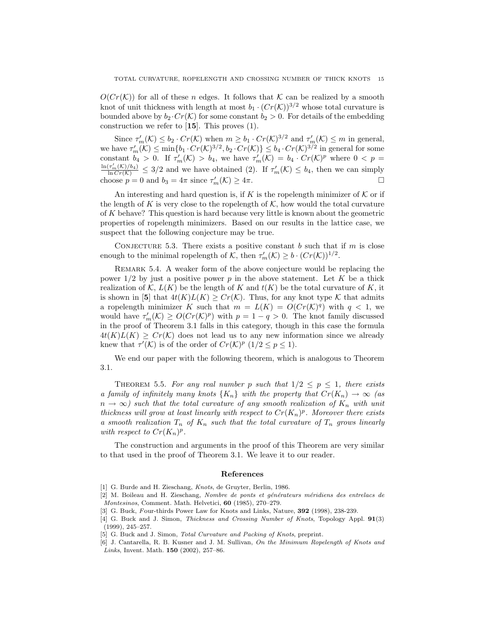$O(Cr(\mathcal{K}))$  for all of these n edges. It follows that K can be realized by a smooth knot of unit thickness with length at most  $b_1 \cdot (Cr(\mathcal{K}))^{3/2}$  whose total curvature is bounded above by  $b_2 \cdot Cr(\mathcal{K})$  for some constant  $b_2 > 0$ . For details of the embedding construction we refer to [15]. This proves (1).

Since  $\tau'_m(\mathcal{K}) \leq b_2 \cdot Cr(\mathcal{K})$  when  $m \geq b_1 \cdot Cr(\mathcal{K})^{3/2}$  and  $\tau'_m(\mathcal{K}) \leq m$  in general, we have  $\tau'_m(\mathcal{K}) \le \min\{b_1 \cdot Cr(\mathcal{K})^{3/2}, b_2 \cdot Cr(\mathcal{K})\} \le b_4 \cdot Cr(\mathcal{K})^{3/2}$  in general for some constant  $b_4 > 0$ . If  $\tau'_m(\mathcal{K}) > b_4$ , we have  $\tau'_m(\mathcal{K}) = b_4 \cdot Cr(\mathcal{K})^p$  where  $0 < p =$  $\frac{\ln(\tau_m'(K)/b_4)}{\ln Cr(K)} \leq 3/2$  and we have obtained (2). If  $\tau_m'(K) \leq b_4$ , then we can simply choose  $p = 0$  and  $b_3 = 4\pi$  since  $\tau'_m(\mathcal{K}) \ge 4\pi$ .

An interesting and hard question is, if K is the ropelength minimizer of  $K$  or if the length of K is very close to the ropelength of  $K$ , how would the total curvature of K behave? This question is hard because very little is known about the geometric properties of ropelength minimizers. Based on our results in the lattice case, we suspect that the following conjecture may be true.

CONJECTURE 5.3. There exists a positive constant b such that if  $m$  is close enough to the minimal ropelength of K, then  $\tau'_m(\mathcal{K}) \geq b \cdot (Cr(\mathcal{K}))^{1/2}$ .

Remark 5.4. A weaker form of the above conjecture would be replacing the power  $1/2$  by just a positive power p in the above statement. Let K be a thick realization of K,  $L(K)$  be the length of K and  $t(K)$  be the total curvature of K, it is shown in [5] that  $4t(K)L(K) \geq Cr(K)$ . Thus, for any knot type K that admits a ropelength minimizer K such that  $m = L(K) = O(Cr(K)^q)$  with  $q < 1$ , we would have  $\tau'_m(\mathcal{K}) \geq O(Cr(\mathcal{K})^p)$  with  $p = 1 - q > 0$ . The knot family discussed in the proof of Theorem 3.1 falls in this category, though in this case the formula  $4t(K)L(K) \geq Cr(K)$  does not lead us to any new information since we already knew that  $\tau'(\mathcal{K})$  is of the order of  $Cr(\mathcal{K})^p$   $(1/2 \leq p \leq 1)$ .

We end our paper with the following theorem, which is analogous to Theorem 3.1.

THEOREM 5.5. For any real number p such that  $1/2 \le p \le 1$ , there exists a family of infinitely many knots  $\{K_n\}$  with the property that  $Cr(K_n) \rightarrow \infty$  (as  $n \to \infty$ ) such that the total curvature of any smooth realization of  $K_n$  with unit thickness will grow at least linearly with respect to  $Cr(K_n)^p$ . Moreover there exists a smooth realization  $T_n$  of  $K_n$  such that the total curvature of  $T_n$  grows linearly with respect to  $Cr(K_n)^p$ .

The construction and arguments in the proof of this Theorem are very similar to that used in the proof of Theorem 3.1. We leave it to our reader.

## References

<sup>[1]</sup> G. Burde and H. Zieschang, *Knots*, de Gruyter, Berlin, 1986.

<sup>[2]</sup> M. Boileau and H. Zieschang, Nombre de ponts et générateurs méridiens des entrelacs de Montesinos, Comment. Math. Helvetici, 60 (1985), 270–279.

<sup>[3]</sup> G. Buck, Four-thirds Power Law for Knots and Links, Nature, 392 (1998), 238-239.

<sup>[4]</sup> G. Buck and J. Simon, Thickness and Crossing Number of Knots, Topology Appl. 91(3) (1999), 245–257.

<sup>[5]</sup> G. Buck and J. Simon, Total Curvature and Packing of Knots, preprint.

<sup>[6]</sup> J. Cantarella, R. B. Kusner and J. M. Sullivan, On the Minimum Ropelength of Knots and Links, Invent. Math. 150 (2002), 257–86.